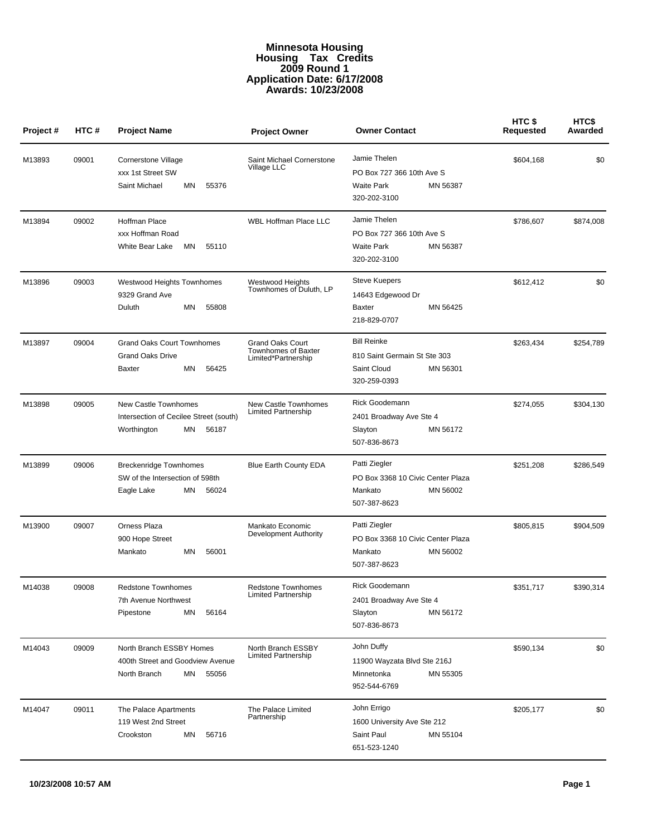## **Minnesota Housing Housing Tax Credits 2009 Round 1 Application Date: 6/17/2008 Awards: 10/23/2008**

| Project# | HTC#  | <b>Project Name</b>                                                                           | <b>Project Owner</b>                                                         | <b>Owner Contact</b>                                                                          | HTC\$<br><b>Requested</b> | HTC\$<br>Awarded |
|----------|-------|-----------------------------------------------------------------------------------------------|------------------------------------------------------------------------------|-----------------------------------------------------------------------------------------------|---------------------------|------------------|
| M13893   | 09001 | Cornerstone Village<br>xxx 1st Street SW<br>ΜN<br>55376<br>Saint Michael                      | Saint Michael Cornerstone<br>Village LLC                                     | Jamie Thelen<br>PO Box 727 366 10th Ave S<br><b>Waite Park</b><br>MN 56387<br>320-202-3100    | \$604,168                 | \$0              |
| M13894   | 09002 | Hoffman Place<br>xxx Hoffman Road<br><b>White Bear Lake</b><br>55110<br>ΜN                    | <b>WBL Hoffman Place LLC</b>                                                 | Jamie Thelen<br>PO Box 727 366 10th Ave S<br><b>Waite Park</b><br>MN 56387<br>320-202-3100    | \$786,607                 | \$874,008        |
| M13896   | 09003 | Westwood Heights Townhomes<br>9329 Grand Ave<br>ΜN<br>55808<br>Duluth                         | Westwood Heights<br>Townhomes of Duluth, LP                                  | <b>Steve Kuepers</b><br>14643 Edgewood Dr<br>MN 56425<br>Baxter<br>218-829-0707               | \$612,412                 | \$0              |
| M13897   | 09004 | <b>Grand Oaks Court Townhomes</b><br><b>Grand Oaks Drive</b><br>MN<br>56425<br>Baxter         | <b>Grand Oaks Court</b><br><b>Townhomes of Baxter</b><br>Limited*Partnership | <b>Bill Reinke</b><br>810 Saint Germain St Ste 303<br>Saint Cloud<br>MN 56301<br>320-259-0393 | \$263,434                 | \$254,789        |
| M13898   | 09005 | New Castle Townhomes<br>Intersection of Cecilee Street (south)<br>Worthington<br>ΜN<br>56187  | New Castle Townhomes<br><b>Limited Partnership</b>                           | <b>Rick Goodemann</b><br>2401 Broadway Ave Ste 4<br>MN 56172<br>Slayton<br>507-836-8673       | \$274,055                 | \$304,130        |
| M13899   | 09006 | <b>Breckenridge Townhomes</b><br>SW of the Intersection of 598th<br>Eagle Lake<br>ΜN<br>56024 | <b>Blue Earth County EDA</b>                                                 | Patti Ziegler<br>PO Box 3368 10 Civic Center Plaza<br>MN 56002<br>Mankato<br>507-387-8623     | \$251,208                 | \$286,549        |
| M13900   | 09007 | Orness Plaza<br>900 Hope Street<br>56001<br>Mankato<br>ΜN                                     | Mankato Economic<br>Development Authority                                    | Patti Ziegler<br>PO Box 3368 10 Civic Center Plaza<br>MN 56002<br>Mankato<br>507-387-8623     | \$805,815                 | \$904,509        |
| M14038   | 09008 | <b>Redstone Townhomes</b><br>7th Avenue Northwest<br>Pipestone<br>ΜN<br>56164                 | <b>Redstone Townhomes</b><br><b>Limited Partnership</b>                      | <b>Rick Goodemann</b><br>2401 Broadway Ave Ste 4<br>Slayton<br>MN 56172<br>507-836-8673       | \$351,717                 | \$390,314        |
| M14043   | 09009 | North Branch ESSBY Homes<br>400th Street and Goodview Avenue<br>North Branch<br>MN<br>55056   | North Branch ESSBY<br><b>Limited Partnership</b>                             | John Duffy<br>11900 Wayzata Blvd Ste 216J<br>Minnetonka<br>MN 55305<br>952-544-6769           | \$590,134                 | \$0              |
| M14047   | 09011 | The Palace Apartments<br>119 West 2nd Street<br>Crookston<br>ΜN<br>56716                      | The Palace Limited<br>Partnership                                            | John Errigo<br>1600 University Ave Ste 212<br>Saint Paul<br>MN 55104<br>651-523-1240          | \$205,177                 | \$0              |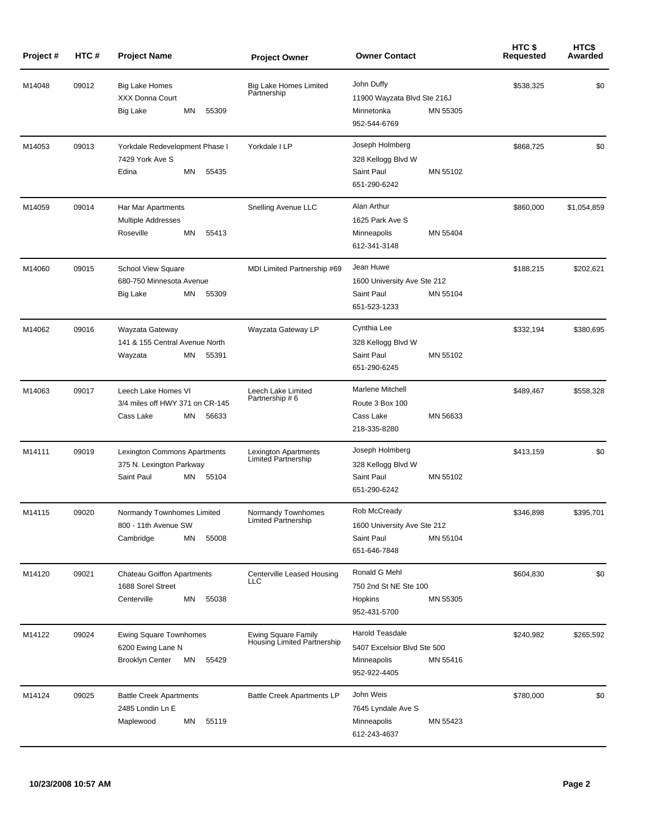| Project# | HTC#  | <b>Project Name</b>                                                                         | <b>Project Owner</b>                               | <b>Owner Contact</b>                                                                             | HTC \$<br>Requested | HTC\$<br>Awarded |
|----------|-------|---------------------------------------------------------------------------------------------|----------------------------------------------------|--------------------------------------------------------------------------------------------------|---------------------|------------------|
| M14048   | 09012 | <b>Big Lake Homes</b><br><b>XXX Donna Court</b><br>ΜN<br>55309<br>Big Lake                  | <b>Big Lake Homes Limited</b><br>Partnership       | John Duffy<br>11900 Wayzata Blvd Ste 216J<br>Minnetonka<br>MN 55305<br>952-544-6769              | \$538,325           | \$0              |
| M14053   | 09013 | Yorkdale Redevelopment Phase I<br>7429 York Ave S<br>Edina<br>MN<br>55435                   | Yorkdale I LP                                      | Joseph Holmberg<br>328 Kellogg Blvd W<br>Saint Paul<br>MN 55102<br>651-290-6242                  | \$868,725           | \$0              |
| M14059   | 09014 | Har Mar Apartments<br><b>Multiple Addresses</b><br>Roseville<br>ΜN<br>55413                 | Snelling Avenue LLC                                | Alan Arthur<br>1625 Park Ave S<br>Minneapolis<br>MN 55404<br>612-341-3148                        | \$860,000           | \$1,054,859      |
| M14060   | 09015 | School View Square<br>680-750 Minnesota Avenue<br>55309<br>Big Lake<br>ΜN                   | MDI Limited Partnership #69                        | Jean Huwe<br>1600 University Ave Ste 212<br>Saint Paul<br>MN 55104<br>651-523-1233               | \$188,215           | \$202,621        |
| M14062   | 09016 | Wayzata Gateway<br>141 & 155 Central Avenue North<br>55391<br>Wayzata<br>ΜN                 | Wayzata Gateway LP                                 | Cynthia Lee<br>328 Kellogg Blvd W<br>Saint Paul<br>MN 55102<br>651-290-6245                      | \$332,194           | \$380,695        |
| M14063   | 09017 | Leech Lake Homes VI<br>3/4 miles off HWY 371 on CR-145<br>Cass Lake<br>56633<br>ΜN          | Leech Lake Limited<br>Partnership # 6              | Marlene Mitchell<br>Route 3 Box 100<br>Cass Lake<br>MN 56633<br>218-335-8280                     | \$489,467           | \$558,328        |
| M14111   | 09019 | Lexington Commons Apartments<br>375 N. Lexington Parkway<br>Saint Paul<br>55104<br>ΜN       | Lexington Apartments<br><b>Limited Partnership</b> | Joseph Holmberg<br>328 Kellogg Blvd W<br>Saint Paul<br>MN 55102<br>651-290-6242                  | \$413,159           | \$0              |
| M14115   | 09020 | Normandy Townhomes Limited<br>800 - 11th Avenue SW<br>Cambridge<br>ΜN<br>55008              | Normandy Townhomes<br>Limited Partnership          | Rob McCready<br>1600 University Ave Ste 212<br>Saint Paul<br>MN 55104<br>651-646-7848            | \$346,898           | \$395,701        |
| M14120   | 09021 | <b>Chateau Goiffon Apartments</b><br>1688 Sorel Street<br>Centerville<br>ΜN<br>55038        | Centerville Leased Housing<br>LLC                  | Ronald G Mehl<br>750 2nd St NE Ste 100<br>Hopkins<br>MN 55305<br>952-431-5700                    | \$604,830           | \$0              |
| M14122   | 09024 | <b>Ewing Square Townhomes</b><br>6200 Ewing Lane N<br><b>Brooklyn Center</b><br>MN<br>55429 | Ewing Square Family<br>Housing Limited Partnership | <b>Harold Teasdale</b><br>5407 Excelsior Blvd Ste 500<br>MN 55416<br>Minneapolis<br>952-922-4405 | \$240,982           | \$265,592        |
| M14124   | 09025 | <b>Battle Creek Apartments</b><br>2485 Londin Ln E<br>Maplewood<br>ΜN<br>55119              | <b>Battle Creek Apartments LP</b>                  | John Weis<br>7645 Lyndale Ave S<br>Minneapolis<br>MN 55423<br>612-243-4637                       | \$780,000           | \$0              |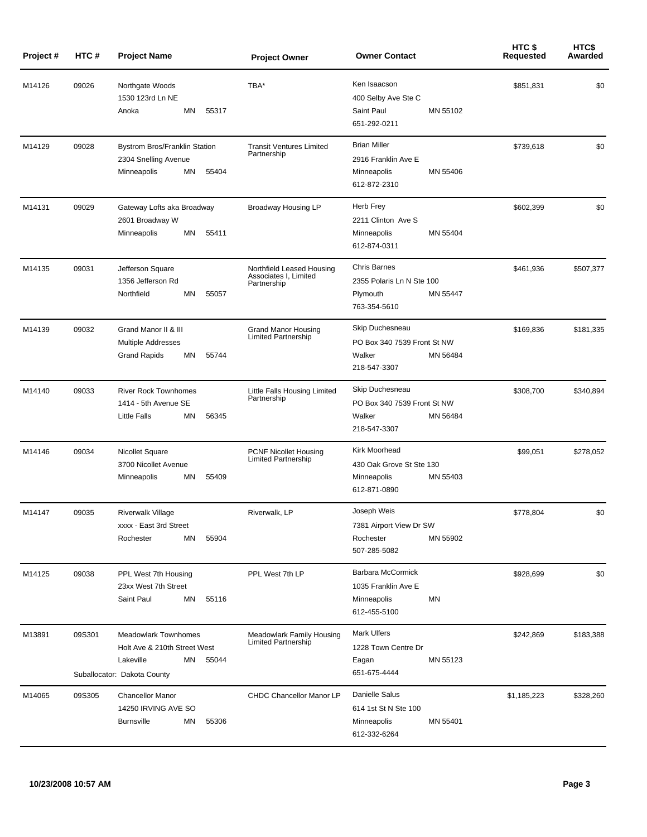| Project# | HTC#   | <b>Project Name</b>                                                                                                    | <b>Project Owner</b>                                              | <b>Owner Contact</b>                                                                     | HTC\$<br>Requested | HTC\$<br>Awarded |
|----------|--------|------------------------------------------------------------------------------------------------------------------------|-------------------------------------------------------------------|------------------------------------------------------------------------------------------|--------------------|------------------|
| M14126   | 09026  | Northgate Woods<br>1530 123rd Ln NE<br>Anoka<br>ΜN<br>55317                                                            | TBA*                                                              | Ken Isaacson<br>400 Selby Ave Ste C<br>Saint Paul<br>MN 55102<br>651-292-0211            | \$851,831          | \$0              |
| M14129   | 09028  | <b>Bystrom Bros/Franklin Station</b><br>2304 Snelling Avenue<br>55404<br>ΜN<br>Minneapolis                             | <b>Transit Ventures Limited</b><br>Partnership                    | <b>Brian Miller</b><br>2916 Franklin Ave E<br>MN 55406<br>Minneapolis<br>612-872-2310    | \$739,618          | \$0              |
| M14131   | 09029  | Gateway Lofts aka Broadway<br>2601 Broadway W<br>ΜN<br>55411<br>Minneapolis                                            | Broadway Housing LP                                               | Herb Frey<br>2211 Clinton Ave S<br>MN 55404<br>Minneapolis<br>612-874-0311               | \$602,399          | \$0              |
| M14135   | 09031  | Jefferson Square<br>1356 Jefferson Rd<br>Northfield<br>ΜN<br>55057                                                     | Northfield Leased Housing<br>Associates I, Limited<br>Partnership | <b>Chris Barnes</b><br>2355 Polaris Ln N Ste 100<br>MN 55447<br>Plymouth<br>763-354-5610 | \$461,936          | \$507,377        |
| M14139   | 09032  | Grand Manor II & III<br><b>Multiple Addresses</b><br><b>Grand Rapids</b><br>55744<br>ΜN                                | <b>Grand Manor Housing</b><br><b>Limited Partnership</b>          | Skip Duchesneau<br>PO Box 340 7539 Front St NW<br>Walker<br>MN 56484<br>218-547-3307     | \$169,836          | \$181,335        |
| M14140   | 09033  | <b>River Rock Townhomes</b><br>1414 - 5th Avenue SE<br><b>Little Falls</b><br>ΜN<br>56345                              | Little Falls Housing Limited<br>Partnership                       | Skip Duchesneau<br>PO Box 340 7539 Front St NW<br>Walker<br>MN 56484<br>218-547-3307     | \$308,700          | \$340,894        |
| M14146   | 09034  | Nicollet Square<br>3700 Nicollet Avenue<br>ΜN<br>55409<br>Minneapolis                                                  | <b>PCNF Nicollet Housing</b><br><b>Limited Partnership</b>        | Kirk Moorhead<br>430 Oak Grove St Ste 130<br>Minneapolis<br>MN 55403<br>612-871-0890     | \$99,051           | \$278,052        |
| M14147   | 09035  | <b>Riverwalk Village</b><br>xxxx - East 3rd Street<br>ΜN<br>55904<br>Rochester                                         | Riverwalk, LP                                                     | Joseph Weis<br>7381 Airport View Dr SW<br>Rochester<br>MN 55902<br>507-285-5082          | \$778,804          | \$0              |
| M14125   | 09038  | PPL West 7th Housing<br>23xx West 7th Street<br>Saint Paul<br>ΜN<br>55116                                              | PPL West 7th LP                                                   | Barbara McCormick<br>1035 Franklin Ave E<br>Minneapolis<br>ΜN<br>612-455-5100            | \$928,699          | \$0              |
| M13891   | 09S301 | <b>Meadowlark Townhomes</b><br>Holt Ave & 210th Street West<br>Lakeville<br>ΜN<br>55044<br>Suballocator: Dakota County | Meadowlark Family Housing<br>Limited Partnership                  | <b>Mark Ulfers</b><br>1228 Town Centre Dr<br>MN 55123<br>Eagan<br>651-675-4444           | \$242,869          | \$183,388        |
| M14065   | 09S305 | <b>Chancellor Manor</b><br>14250 IRVING AVE SO<br><b>Burnsville</b><br>ΜN<br>55306                                     | CHDC Chancellor Manor LP                                          | Danielle Salus<br>614 1st St N Ste 100<br>Minneapolis<br>MN 55401<br>612-332-6264        | \$1,185,223        | \$328,260        |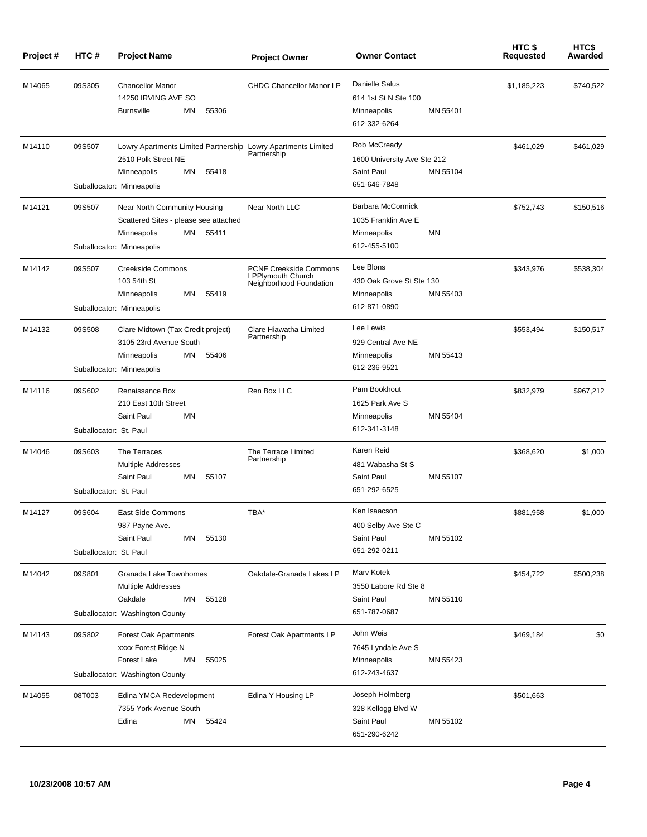| Project# | HTC#                             | <b>Project Name</b>                                                                                                                             | <b>Project Owner</b>                                                                 | <b>Owner Contact</b>                                                                  | HTC\$<br>Requested | HTC\$<br>Awarded |
|----------|----------------------------------|-------------------------------------------------------------------------------------------------------------------------------------------------|--------------------------------------------------------------------------------------|---------------------------------------------------------------------------------------|--------------------|------------------|
| M14065   | 09S305                           | <b>Chancellor Manor</b><br>14250 IRVING AVE SO<br>ΜN<br>55306<br><b>Burnsville</b>                                                              | <b>CHDC Chancellor Manor LP</b>                                                      | Danielle Salus<br>614 1st St N Ste 100<br>MN 55401<br>Minneapolis<br>612-332-6264     | \$1,185,223        | \$740,522        |
| M14110   | 09S507                           | Lowry Apartments Limited Partnership Lowry Apartments Limited<br>2510 Polk Street NE<br>ΜN<br>55418<br>Minneapolis<br>Suballocator: Minneapolis | Partnership                                                                          | Rob McCready<br>1600 University Ave Ste 212<br>Saint Paul<br>MN 55104<br>651-646-7848 | \$461,029          | \$461,029        |
| M14121   | 09S507                           | Near North Community Housing<br>Scattered Sites - please see attached<br>Minneapolis<br>ΜN<br>55411<br>Suballocator: Minneapolis                | Near North LLC                                                                       | Barbara McCormick<br>1035 Franklin Ave E<br>ΜN<br>Minneapolis<br>612-455-5100         | \$752,743          | \$150,516        |
| M14142   | 09S507                           | <b>Creekside Commons</b><br>103 54th St<br>ΜN<br>55419<br>Minneapolis<br>Suballocator: Minneapolis                                              | <b>PCNF Creekside Commons</b><br><b>LPPlymouth Church</b><br>Neighborhood Foundation | Lee Blons<br>430 Oak Grove St Ste 130<br>MN 55403<br>Minneapolis<br>612-871-0890      | \$343,976          | \$538.304        |
| M14132   | 09S508                           | Clare Midtown (Tax Credit project)<br>3105 23rd Avenue South<br>ΜN<br>55406<br>Minneapolis<br>Suballocator: Minneapolis                         | Clare Hiawatha Limited<br>Partnership                                                | Lee Lewis<br>929 Central Ave NE<br>MN 55413<br>Minneapolis<br>612-236-9521            | \$553,494          | \$150,517        |
| M14116   | 09S602<br>Suballocator: St. Paul | Renaissance Box<br>210 East 10th Street<br>Saint Paul<br>MN                                                                                     | Ren Box LLC                                                                          | Pam Bookhout<br>1625 Park Ave S<br>MN 55404<br>Minneapolis<br>612-341-3148            | \$832,979          | \$967,212        |
| M14046   | 09S603<br>Suballocator: St. Paul | The Terraces<br><b>Multiple Addresses</b><br>Saint Paul<br>ΜN<br>55107                                                                          | The Terrace Limited<br>Partnership                                                   | Karen Reid<br>481 Wabasha St S<br>Saint Paul<br>MN 55107<br>651-292-6525              | \$368,620          | \$1,000          |
| M14127   | 09S604<br>Suballocator: St. Paul | East Side Commons<br>987 Payne Ave.<br>Saint Paul<br>ΜN<br>55130                                                                                | TBA*                                                                                 | Ken Isaacson<br>400 Selby Ave Ste C<br>Saint Paul<br>MN 55102<br>651-292-0211         | \$881.958          | \$1,000          |
| M14042   | 09S801                           | Granada Lake Townhomes<br><b>Multiple Addresses</b><br>Oakdale<br>ΜN<br>55128<br>Suballocator: Washington County                                | Oakdale-Granada Lakes LP                                                             | Mary Kotek<br>3550 Labore Rd Ste 8<br>Saint Paul<br>MN 55110<br>651-787-0687          | \$454,722          | \$500,238        |
| M14143   | 09S802                           | Forest Oak Apartments<br>xxxx Forest Ridge N<br><b>Forest Lake</b><br>ΜN<br>55025<br>Suballocator: Washington County                            | Forest Oak Apartments LP                                                             | John Weis<br>7645 Lyndale Ave S<br>MN 55423<br>Minneapolis<br>612-243-4637            | \$469,184          | \$0              |
| M14055   | 08T003                           | Edina YMCA Redevelopment<br>7355 York Avenue South<br>Edina<br>ΜN<br>55424                                                                      | Edina Y Housing LP                                                                   | Joseph Holmberg<br>328 Kellogg Blvd W<br>Saint Paul<br>MN 55102<br>651-290-6242       | \$501,663          |                  |